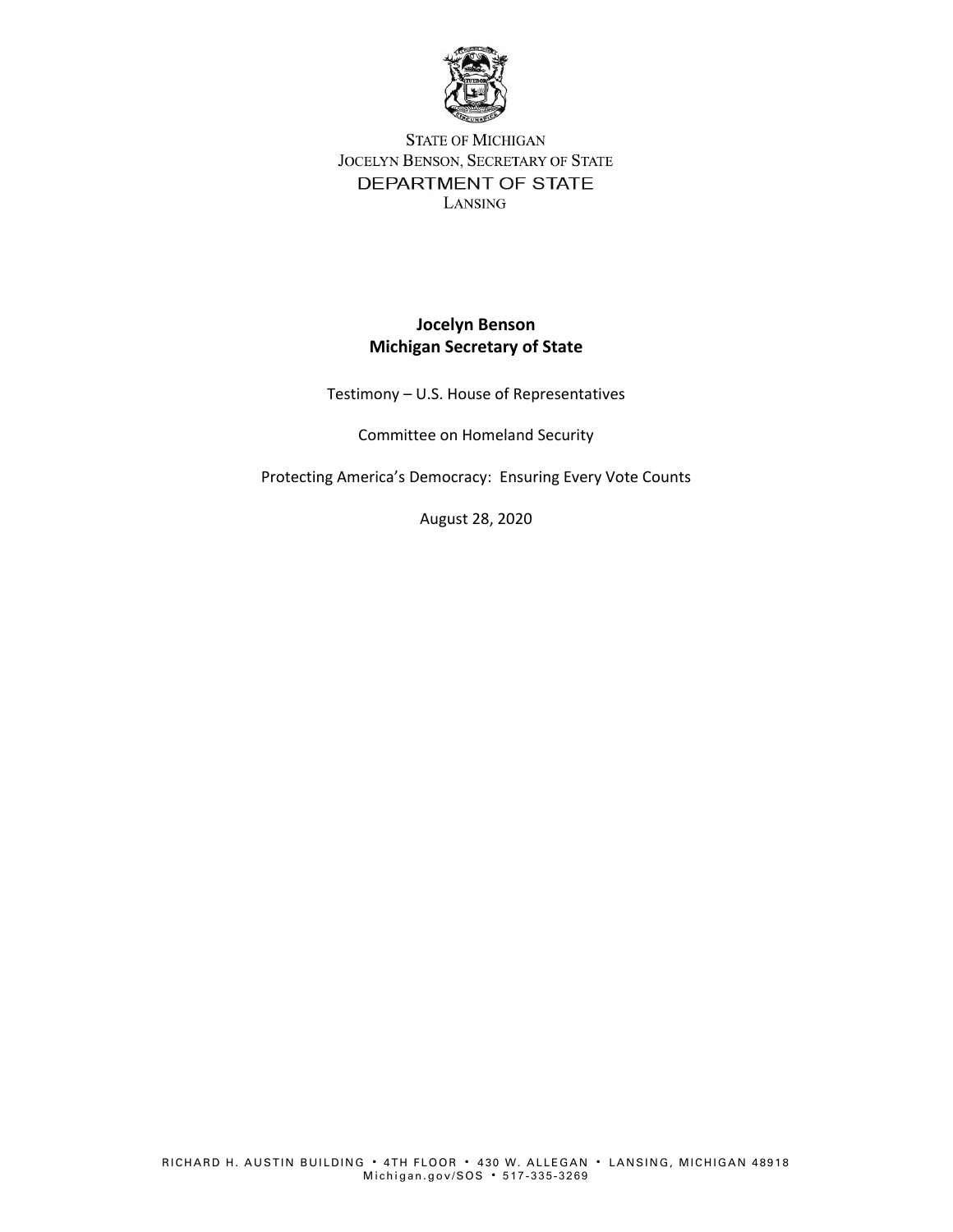

## **STATE OF MICHIGAN** JOCELYN BENSON, SECRETARY OF STATE DEPARTMENT OF STATE LANSING

## **Jocelyn Benson Michigan Secretary of State**

Testimony – U.S. House of Representatives

Committee on Homeland Security

Protecting America's Democracy: Ensuring Every Vote Counts

August 28, 2020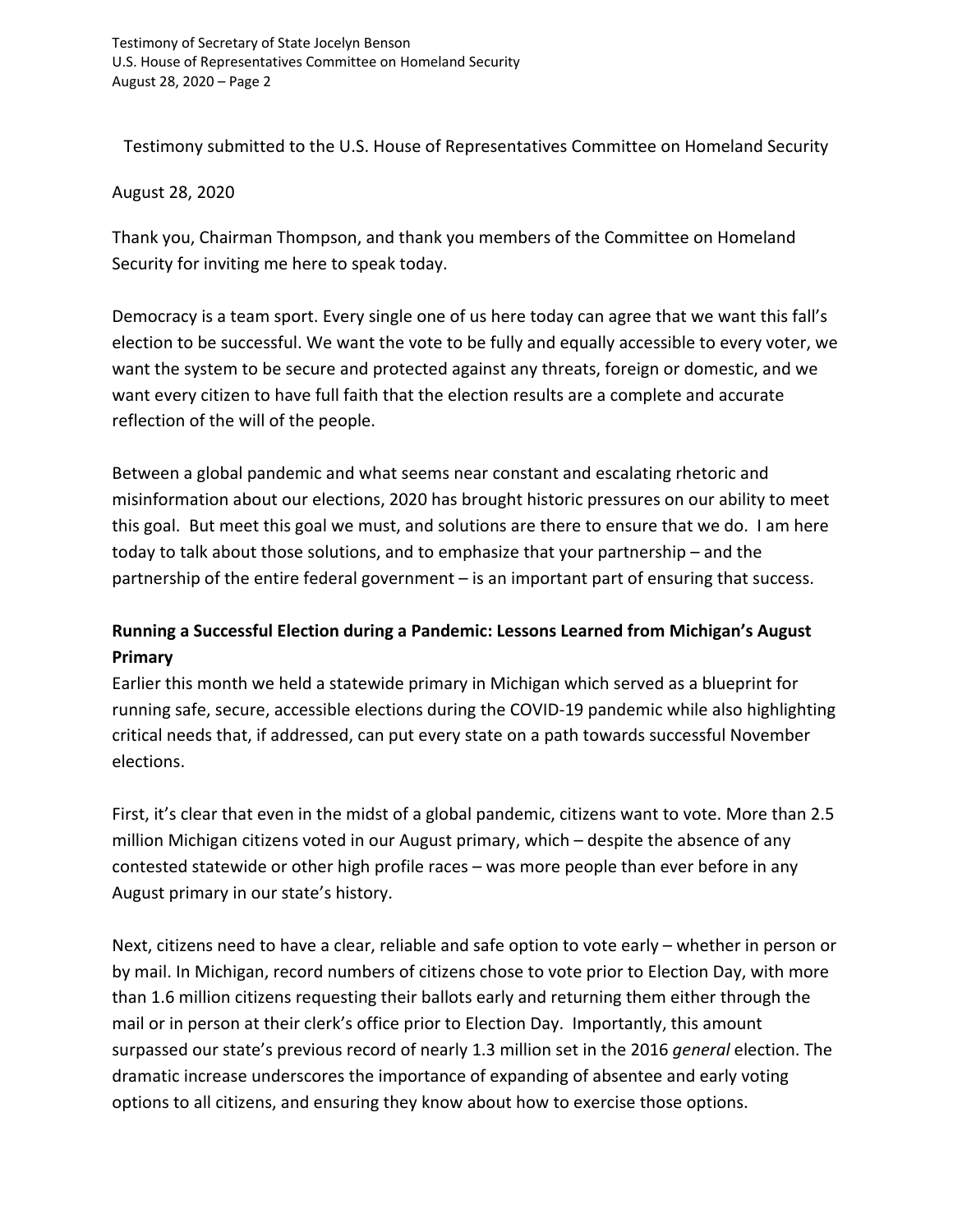Testimony submitted to the U.S. House of Representatives Committee on Homeland Security

August 28, 2020

Thank you, Chairman Thompson, and thank you members of the Committee on Homeland Security for inviting me here to speak today.

Democracy is a team sport. Every single one of us here today can agree that we want this fall's election to be successful. We want the vote to be fully and equally accessible to every voter, we want the system to be secure and protected against any threats, foreign or domestic, and we want every citizen to have full faith that the election results are a complete and accurate reflection of the will of the people.

Between a global pandemic and what seems near constant and escalating rhetoric and misinformation about our elections, 2020 has brought historic pressures on our ability to meet this goal. But meet this goal we must, and solutions are there to ensure that we do. I am here today to talk about those solutions, and to emphasize that your partnership – and the partnership of the entire federal government – is an important part of ensuring that success.

## **Running a Successful Election during a Pandemic: Lessons Learned from Michigan's August Primary**

Earlier this month we held a statewide primary in Michigan which served as a blueprint for running safe, secure, accessible elections during the COVID-19 pandemic while also highlighting critical needs that, if addressed, can put every state on a path towards successful November elections.

First, it's clear that even in the midst of a global pandemic, citizens want to vote. More than 2.5 million Michigan citizens voted in our August primary, which – despite the absence of any contested statewide or other high profile races – was more people than ever before in any August primary in our state's history.

Next, citizens need to have a clear, reliable and safe option to vote early – whether in person or by mail. In Michigan, record numbers of citizens chose to vote prior to Election Day, with more than 1.6 million citizens requesting their ballots early and returning them either through the mail or in person at their clerk's office prior to Election Day. Importantly, this amount surpassed our state's previous record of nearly 1.3 million set in the 2016 *general* election. The dramatic increase underscores the importance of expanding of absentee and early voting options to all citizens, and ensuring they know about how to exercise those options.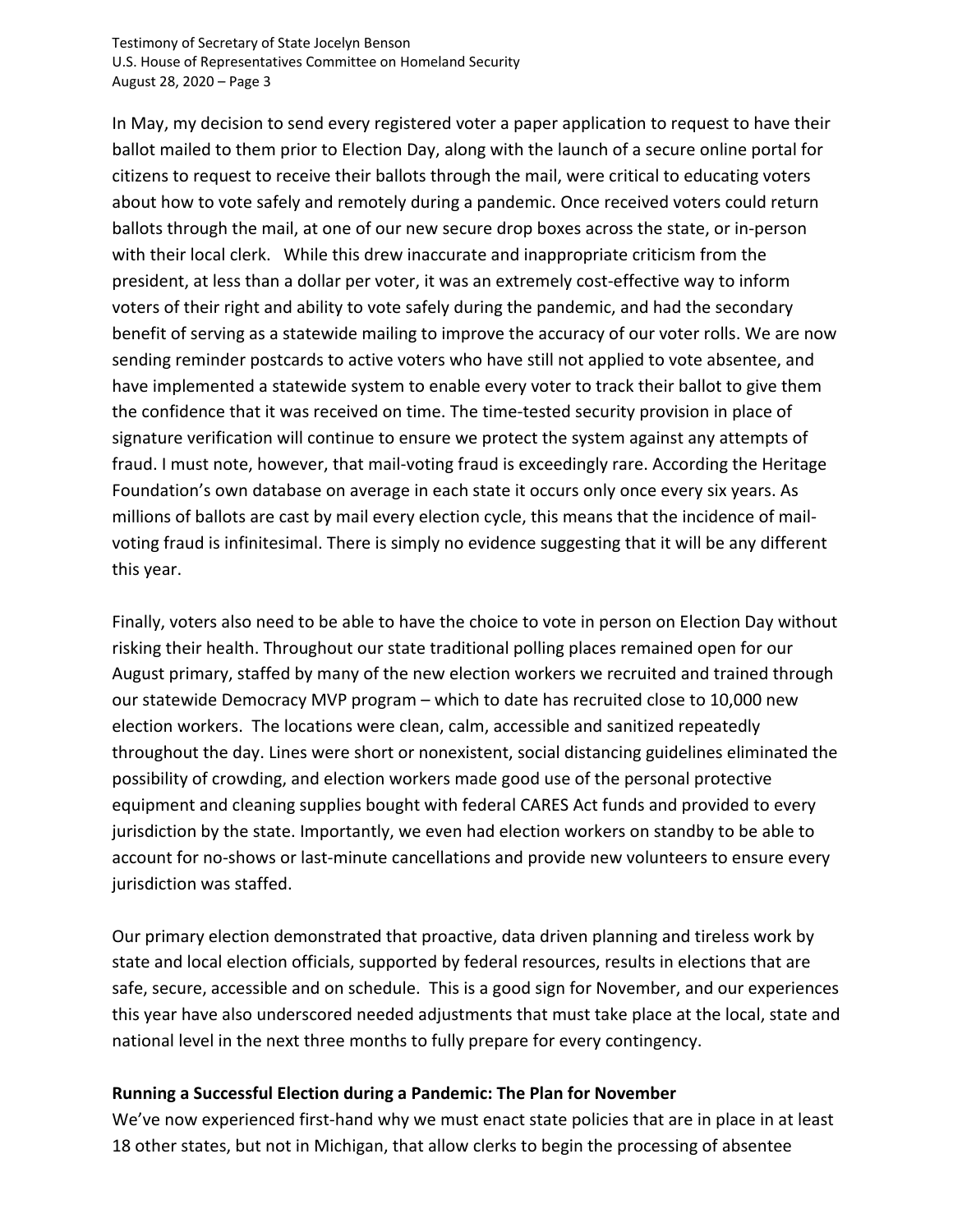In May, my decision to send every registered voter a paper application to request to have their ballot mailed to them prior to Election Day, along with the launch of a secure online portal for citizens to request to receive their ballots through the mail, were critical to educating voters about how to vote safely and remotely during a pandemic. Once received voters could return ballots through the mail, at one of our new secure drop boxes across the state, or in-person with their local clerk. While this drew inaccurate and inappropriate criticism from the president, at less than a dollar per voter, it was an extremely cost-effective way to inform voters of their right and ability to vote safely during the pandemic, and had the secondary benefit of serving as a statewide mailing to improve the accuracy of our voter rolls. We are now sending reminder postcards to active voters who have still not applied to vote absentee, and have implemented a statewide system to enable every voter to track their ballot to give them the confidence that it was received on time. The time-tested security provision in place of signature verification will continue to ensure we protect the system against any attempts of fraud. I must note, however, that mail-voting fraud is exceedingly rare. According the Heritage Foundation's own database on average in each state it occurs only once every six years. As millions of ballots are cast by mail every election cycle, this means that the incidence of mailvoting fraud is infinitesimal. There is simply no evidence suggesting that it will be any different this year.

Finally, voters also need to be able to have the choice to vote in person on Election Day without risking their health. Throughout our state traditional polling places remained open for our August primary, staffed by many of the new election workers we recruited and trained through our statewide Democracy MVP program – which to date has recruited close to 10,000 new election workers. The locations were clean, calm, accessible and sanitized repeatedly throughout the day. Lines were short or nonexistent, social distancing guidelines eliminated the possibility of crowding, and election workers made good use of the personal protective equipment and cleaning supplies bought with federal CARES Act funds and provided to every jurisdiction by the state. Importantly, we even had election workers on standby to be able to account for no-shows or last-minute cancellations and provide new volunteers to ensure every jurisdiction was staffed.

Our primary election demonstrated that proactive, data driven planning and tireless work by state and local election officials, supported by federal resources, results in elections that are safe, secure, accessible and on schedule. This is a good sign for November, and our experiences this year have also underscored needed adjustments that must take place at the local, state and national level in the next three months to fully prepare for every contingency.

## **Running a Successful Election during a Pandemic: The Plan for November**

We've now experienced first-hand why we must enact state policies that are in place in at least 18 other states, but not in Michigan, that allow clerks to begin the processing of absentee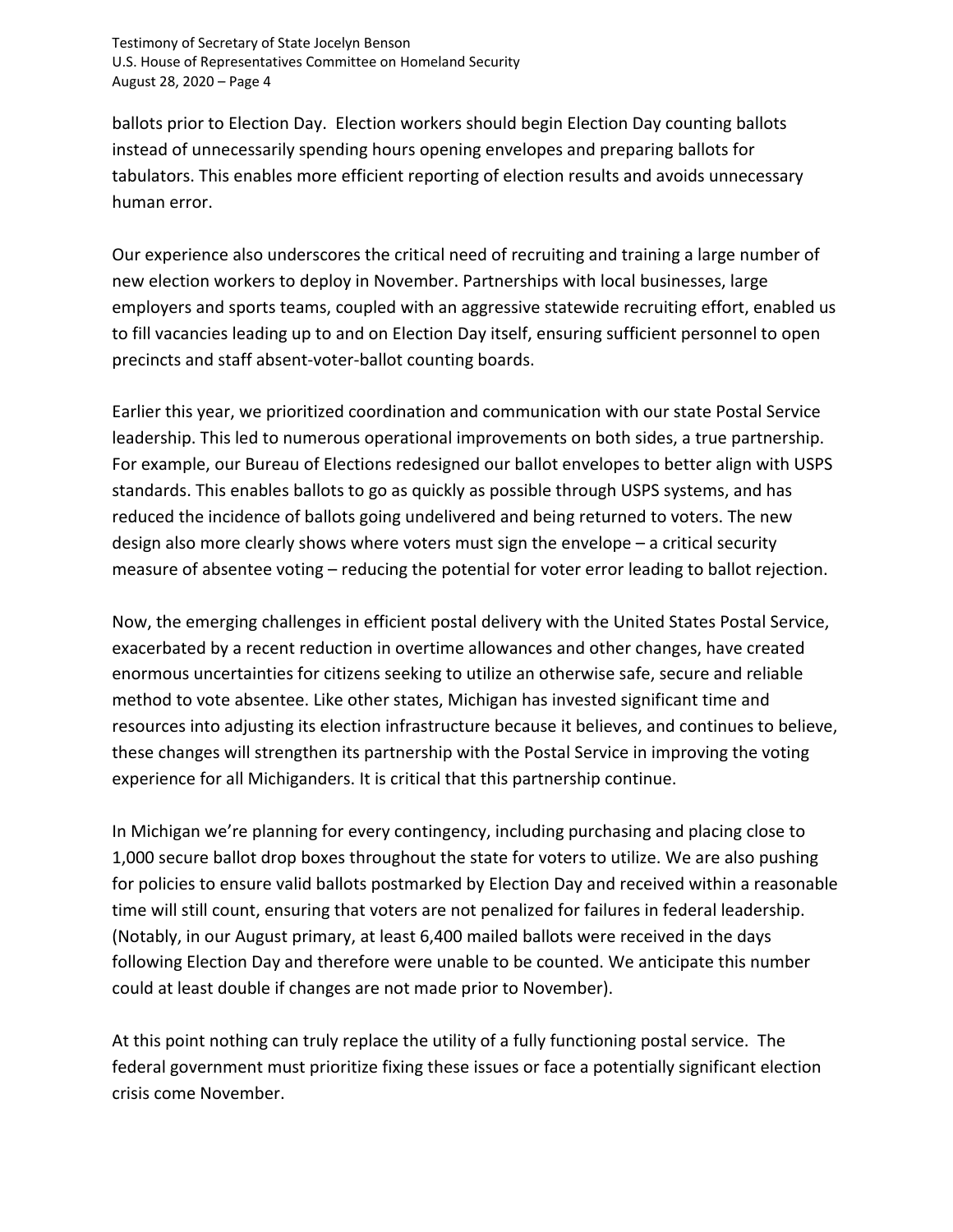ballots prior to Election Day. Election workers should begin Election Day counting ballots instead of unnecessarily spending hours opening envelopes and preparing ballots for tabulators. This enables more efficient reporting of election results and avoids unnecessary human error.

Our experience also underscores the critical need of recruiting and training a large number of new election workers to deploy in November. Partnerships with local businesses, large employers and sports teams, coupled with an aggressive statewide recruiting effort, enabled us to fill vacancies leading up to and on Election Day itself, ensuring sufficient personnel to open precincts and staff absent-voter-ballot counting boards.

Earlier this year, we prioritized coordination and communication with our state Postal Service leadership. This led to numerous operational improvements on both sides, a true partnership. For example, our Bureau of Elections redesigned our ballot envelopes to better align with USPS standards. This enables ballots to go as quickly as possible through USPS systems, and has reduced the incidence of ballots going undelivered and being returned to voters. The new design also more clearly shows where voters must sign the envelope – a critical security measure of absentee voting – reducing the potential for voter error leading to ballot rejection.

Now, the emerging challenges in efficient postal delivery with the United States Postal Service, exacerbated by a recent reduction in overtime allowances and other changes, have created enormous uncertainties for citizens seeking to utilize an otherwise safe, secure and reliable method to vote absentee. Like other states, Michigan has invested significant time and resources into adjusting its election infrastructure because it believes, and continues to believe, these changes will strengthen its partnership with the Postal Service in improving the voting experience for all Michiganders. It is critical that this partnership continue.

In Michigan we're planning for every contingency, including purchasing and placing close to 1,000 secure ballot drop boxes throughout the state for voters to utilize. We are also pushing for policies to ensure valid ballots postmarked by Election Day and received within a reasonable time will still count, ensuring that voters are not penalized for failures in federal leadership. (Notably, in our August primary, at least 6,400 mailed ballots were received in the days following Election Day and therefore were unable to be counted. We anticipate this number could at least double if changes are not made prior to November).

At this point nothing can truly replace the utility of a fully functioning postal service. The federal government must prioritize fixing these issues or face a potentially significant election crisis come November.